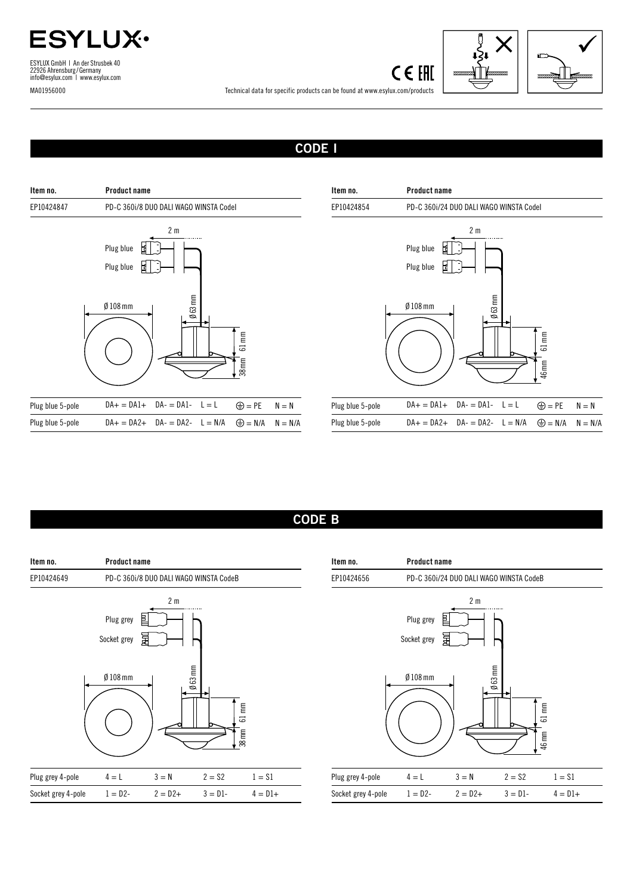

ESYLUX GmbH | An der Strusbek 40 22926 Ahrensburg/Germany info@esylux.com | www.esylux.com MA01956000





Technical data for specific products can be found at www.esylux.com/products

## CODE I



| Item no.         | <b>Product name</b>                                                                                            |           |  |  |  |  |
|------------------|----------------------------------------------------------------------------------------------------------------|-----------|--|--|--|--|
| EP10424854       | PD-C 360i/24 DUO DALI WAGO WINSTA Codel                                                                        |           |  |  |  |  |
|                  | 2 <sub>m</sub><br>Plug blue<br>Plug blue<br>固<br>$\emptyset$ 63 mm<br>$Ø$ 108 $mm$<br>$61 \text{ mm}$<br>46 mm |           |  |  |  |  |
| Plug blue 5-pole | $DA+ = DA1+ DA- = DA1- L = L$<br>$\bigoplus$ = PE                                                              | $N = N$   |  |  |  |  |
| Plug blue 5-pole | $\bigoplus$ = N/A<br>$DA+ = DA2+ DA- = DA2- L = N/A$                                                           | $N = N/A$ |  |  |  |  |

## CODE B



| Item no.           | Product name                            |                          |               |                   |  |
|--------------------|-----------------------------------------|--------------------------|---------------|-------------------|--|
| EP10424656         | PD-C 360i/24 DUO DALI WAGO WINSTA CodeB |                          |               |                   |  |
|                    | Plug grey<br>Socket grey<br>$Ø$ 108 mm  | 2 <sub>m</sub><br>皀<br>冨 | $\beta$ 63 mm | 61 mm             |  |
| Plug grey 4-pole   | $4 = L$                                 | $3 = N$                  | $2 = $2$      | 46 mm<br>$1 = $1$ |  |
|                    |                                         |                          |               |                   |  |
| Socket grey 4-pole | $1 = D2 -$                              | $2 = D2+$                | $3 = D1 -$    | $4 = D1 +$        |  |